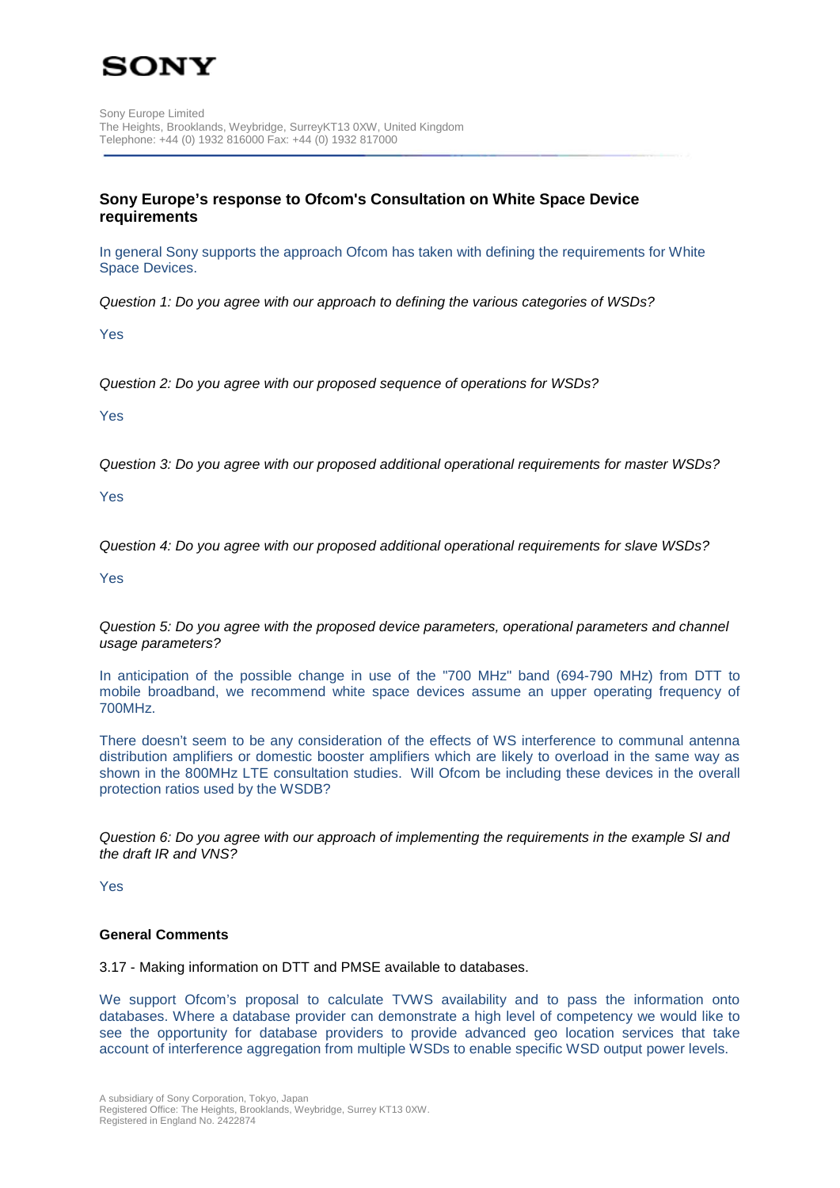

# **Sony Europe's response to Ofcom's Consultation on White Space Device requirements**

In general Sony supports the approach Ofcom has taken with defining the requirements for White Space Devices.

*Question 1: Do you agree with our approach to defining the various categories of WSDs?*

Yes

*Question 2: Do you agree with our proposed sequence of operations for WSDs?*

Yes

*Question 3: Do you agree with our proposed additional operational requirements for master WSDs?*

Yes

*Question 4: Do you agree with our proposed additional operational requirements for slave WSDs?*

Yes

*Question 5: Do you agree with the proposed device parameters, operational parameters and channel usage parameters?*

In anticipation of the possible change in use of the "700 MHz" band (694-790 MHz) from DTT to mobile broadband, we recommend white space devices assume an upper operating frequency of 700MHz.

There doesn't seem to be any consideration of the effects of WS interference to communal antenna distribution amplifiers or domestic booster amplifiers which are likely to overload in the same way as shown in the 800MHz LTE consultation studies. Will Ofcom be including these devices in the overall protection ratios used by the WSDB?

*Question 6: Do you agree with our approach of implementing the requirements in the example SI and the draft IR and VNS?*

Yes

## **General Comments**

3.17 - Making information on DTT and PMSE available to databases.

We support Ofcom's proposal to calculate TVWS availability and to pass the information onto databases. Where a database provider can demonstrate a high level of competency we would like to see the opportunity for database providers to provide advanced geo location services that take account of interference aggregation from multiple WSDs to enable specific WSD output power levels.